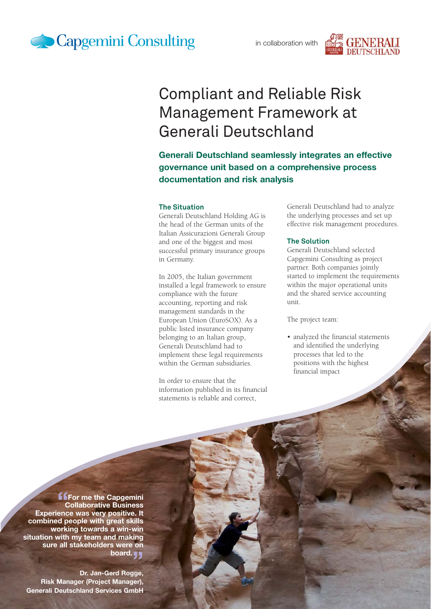



# Compliant and Reliable Risk Management Framework at Generali Deutschland

**Generali Deutschland seamlessly integrates an effective governance unit based on a comprehensive process documentation and risk analysis**

#### **The Situation**

Generali Deutschland Holding AG is the head of the German units of the Italian Assicurazioni Generali Group and one of the biggest and most successful primary insurance groups in Germany.

In 2005, the Italian government installed a legal framework to ensure compliance with the future accounting, reporting and risk management standards in the European Union (EuroSOX). As a public listed insurance company belonging to an Italian group, Generali Deutschland had to implement these legal requirements within the German subsidiaries.

In order to ensure that the information published in its financial statements is reliable and correct,

Generali Deutschland had to analyze the underlying processes and set up effective risk management procedures.

#### **The Solution**

Generali Deutschland selected Capgemini Consulting as project partner. Both companies jointly started to implement the requirements within the major operational units and the shared service accounting unit.

The project team:

• analyzed the financial statements and identified the underlying processes that led to the positions with the highest financial impact

**f f**or me the Capgemini **Collaborative Business Experience was very positive. It combined people with great skills working towards a win-win situation with my team and making sure all stakeholders were on board.** 

**Dr. Jan-Gerd Rogge, Risk Manager (Project Manager), Generali Deutschland Services GmbH**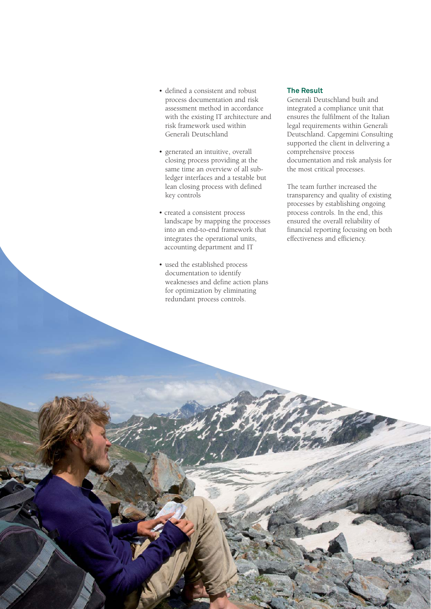- defined a consistent and robust process documentation and risk assessment method in accordance with the existing IT architecture and risk framework used within Generali Deutschland
- generated an intuitive, overall closing process providing at the same time an overview of all subledger interfaces and a testable but lean closing process with defined key controls
- created a consistent process landscape by mapping the processes into an end-to-end framework that integrates the operational units, accounting department and IT
- used the established process documentation to identify weaknesses and define action plans for optimization by eliminating redundant process controls.

## **The Result**

Generali Deutschland built and integrated a compliance unit that ensures the fulfilment of the Italian legal requirements within Generali Deutschland. Capgemini Consulting supported the client in delivering a comprehensive process documentation and risk analysis for the most critical processes.

The team further increased the transparency and quality of existing processes by establishing ongoing process controls. In the end, this ensured the overall reliability of financial reporting focusing on both effectiveness and efficiency.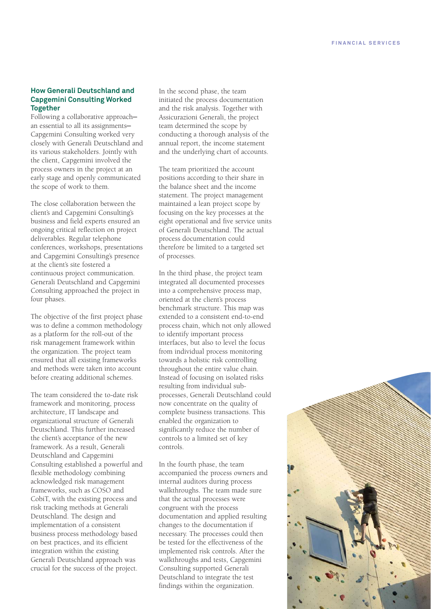# **How Generali Deutschland and Capgemini Consulting Worked Together**

Following a collaborative approach an essential to all its assignments— Capgemini Consulting worked very closely with Generali Deutschland and its various stakeholders. Jointly with the client, Capgemini involved the process owners in the project at an early stage and openly communicated the scope of work to them.

The close collaboration between the client's and Capgemini Consulting's business and field experts ensured an ongoing critical reflection on project deliverables. Regular telephone conferences, workshops, presentations and Capgemini Consulting's presence at the client's site fostered a continuous project communication. Generali Deutschland and Capgemini Consulting approached the project in four phases.

The objective of the first project phase was to define a common methodology as a platform for the roll-out of the risk management framework within the organization. The project team ensured that all existing frameworks and methods were taken into account before creating additional schemes.

The team considered the to-date risk framework and monitoring, process architecture, IT landscape and organizational structure of Generali Deutschland. This further increased the client's acceptance of the new framework. As a result, Generali Deutschland and Capgemini Consulting established a powerful and flexible methodology combining acknowledged risk management frameworks, such as COSO and CobiT, with the existing process and risk tracking methods at Generali Deutschland. The design and implementation of a consistent business process methodology based on best practices, and its efficient integration within the existing Generali Deutschland approach was crucial for the success of the project.

In the second phase, the team initiated the process documentation and the risk analysis. Together with Assicurazioni Generali, the project team determined the scope by conducting a thorough analysis of the annual report, the income statement and the underlying chart of accounts.

The team prioritized the account positions according to their share in the balance sheet and the income statement. The project management maintained a lean project scope by focusing on the key processes at the eight operational and five service units of Generali Deutschland. The actual process documentation could therefore be limited to a targeted set of processes.

In the third phase, the project team integrated all documented processes into a comprehensive process map, oriented at the client's process benchmark structure. This map was extended to a consistent end-to-end process chain, which not only allowed to identify important process interfaces, but also to level the focus from individual process monitoring towards a holistic risk controlling throughout the entire value chain. Instead of focusing on isolated risks resulting from individual subprocesses, Generali Deutschland could now concentrate on the quality of complete business transactions. This enabled the organization to significantly reduce the number of controls to a limited set of key controls.

In the fourth phase, the team accompanied the process owners and internal auditors during process walkthroughs. The team made sure that the actual processes were congruent with the process documentation and applied resulting changes to the documentation if necessary. The processes could then be tested for the effectiveness of the implemented risk controls. After the walkthroughs and tests, Capgemini Consulting supported Generali Deutschland to integrate the test findings within the organization.